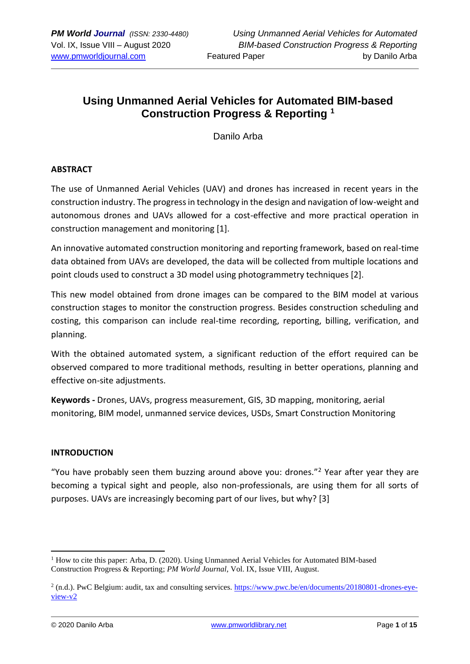# **Using Unmanned Aerial Vehicles for Automated BIM-based Construction Progress & Reporting <sup>1</sup>**

Danilo Arba

## **ABSTRACT**

The use of Unmanned Aerial Vehicles (UAV) and drones has increased in recent years in the construction industry. The progress in technology in the design and navigation of low-weight and autonomous drones and UAVs allowed for a cost-effective and more practical operation in construction management and monitoring [1].

An innovative automated construction monitoring and reporting framework, based on real-time data obtained from UAVs are developed, the data will be collected from multiple locations and point clouds used to construct a 3D model using photogrammetry techniques [2].

This new model obtained from drone images can be compared to the BIM model at various construction stages to monitor the construction progress. Besides construction scheduling and costing, this comparison can include real-time recording, reporting, billing, verification, and planning.

With the obtained automated system, a significant reduction of the effort required can be observed compared to more traditional methods, resulting in better operations, planning and effective on-site adjustments.

**Keywords -** Drones, UAVs, progress measurement, GIS, 3D mapping, monitoring, aerial monitoring, BIM model, unmanned service devices, USDs, Smart Construction Monitoring

#### **INTRODUCTION**

"You have probably seen them buzzing around above you: drones."<sup>2</sup> Year after year they are becoming a typical sight and people, also non-professionals, are using them for all sorts of purposes. UAVs are increasingly becoming part of our lives, but why? [3]

 $<sup>1</sup>$  How to cite this paper: Arba, D. (2020). Using Unmanned Aerial Vehicles for Automated BIM-based</sup> Construction Progress & Reporting; *PM World Journal*, Vol. IX, Issue VIII, August.

 $^2$  (n.d.). PwC Belgium: audit, tax and consulting services. [https://www.pwc.be/en/documents/20180801-drones-eye](about:blank)[view-v2](about:blank)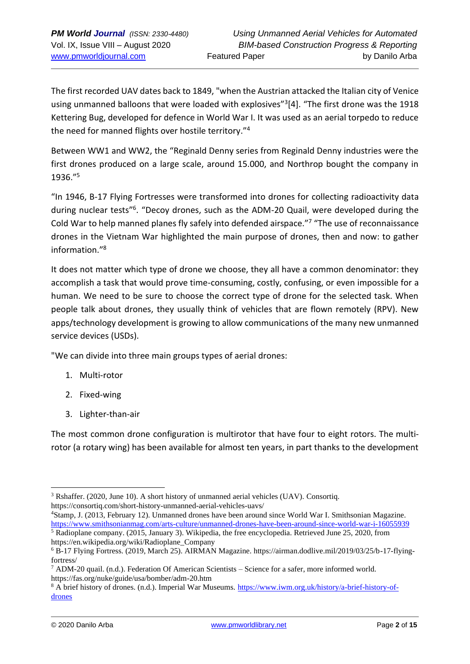The first recorded UAV dates back to 1849, "when the Austrian attacked the Italian city of Venice using unmanned balloons that were loaded with explosives"<sup>3</sup>[4]. "The first drone was the 1918 Kettering Bug, developed for defence in World War I. It was used as an aerial torpedo to reduce the need for manned flights over hostile territory."<sup>4</sup>

Between WW1 and WW2, the "Reginald Denny series from Reginald Denny industries were the first drones produced on a large scale, around 15.000, and Northrop bought the company in 1936."<sup>5</sup>

"In 1946, B-17 Flying Fortresses were transformed into drones for collecting radioactivity data during nuclear tests"<sup>6</sup>. "Decoy drones, such as the ADM-20 Quail, were developed during the Cold War to help manned planes fly safely into defended airspace."<sup>7</sup> "The use of reconnaissance drones in the Vietnam War highlighted the main purpose of drones, then and now: to gather information."<sup>8</sup>

It does not matter which type of drone we choose, they all have a common denominator: they accomplish a task that would prove time-consuming, costly, confusing, or even impossible for a human. We need to be sure to choose the correct type of drone for the selected task. When people talk about drones, they usually think of vehicles that are flown remotely (RPV). New apps/technology development is growing to allow communications of the many new unmanned service devices (USDs).

"We can divide into three main groups types of aerial drones:

- 1. Multi-rotor
- 2. Fixed-wing
- 3. Lighter-than-air

The most common drone configuration is multirotor that have four to eight rotors. The multirotor (a rotary wing) has been available for almost ten years, in part thanks to the development

https://en.wikipedia.org/wiki/Radioplane\_Company

<sup>3</sup> Rshaffer. (2020, June 10). A short history of unmanned aerial vehicles (UAV). Consortiq. https://consortiq.com/short-history-unmanned-aerial-vehicles-uavs/

<sup>4</sup>Stamp, J. (2013, February 12). Unmanned drones have been around since World War I. Smithsonian Magazine. [https://www.smithsonianmag.com/arts-culture/unmanned-drones-have-been-around-since-world-war-i-16055939](about:blank) <sup>5</sup> Radioplane company. (2015, January 3). Wikipedia, the free encyclopedia. Retrieved June 25, 2020, from

<sup>6</sup> B-17 Flying Fortress. (2019, March 25). AIRMAN Magazine. https://airman.dodlive.mil/2019/03/25/b-17-flyingfortress/

 $7$  ADM-20 quail. (n.d.). Federation Of American Scientists – Science for a safer, more informed world. https://fas.org/nuke/guide/usa/bomber/adm-20.htm

<sup>&</sup>lt;sup>8</sup> A brief history of drones. (n.d.). Imperial War Museums. [https://www.iwm.org.uk/history/a-brief-history-of](about:blank)[drones](about:blank)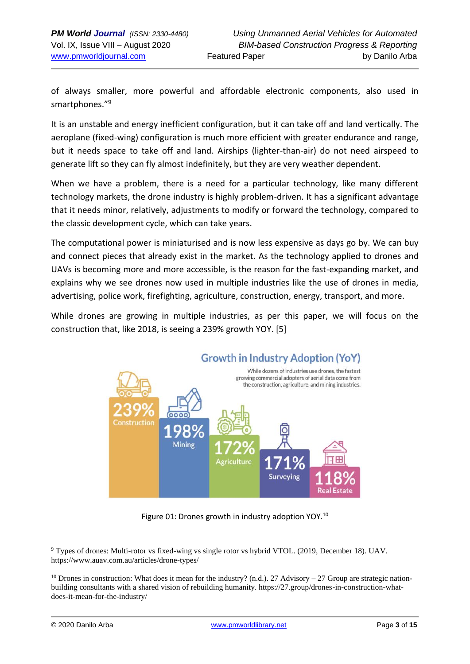of always smaller, more powerful and affordable electronic components, also used in smartphones."<sup>9</sup>

It is an unstable and energy inefficient configuration, but it can take off and land vertically. The aeroplane (fixed-wing) configuration is much more efficient with greater endurance and range, but it needs space to take off and land. Airships (lighter-than-air) do not need airspeed to generate lift so they can fly almost indefinitely, but they are very weather dependent.

When we have a problem, there is a need for a particular technology, like many different technology markets, the drone industry is highly problem-driven. It has a significant advantage that it needs minor, relatively, adjustments to modify or forward the technology, compared to the classic development cycle, which can take years.

The computational power is miniaturised and is now less expensive as days go by. We can buy and connect pieces that already exist in the market. As the technology applied to drones and UAVs is becoming more and more accessible, is the reason for the fast-expanding market, and explains why we see drones now used in multiple industries like the use of drones in media, advertising, police work, firefighting, agriculture, construction, energy, transport, and more.

While drones are growing in multiple industries, as per this paper, we will focus on the construction that, like 2018, is seeing a 239% growth YOY. [5]



Figure 01: Drones growth in industry adoption YOY.<sup>10</sup>

<sup>9</sup> Types of drones: Multi-rotor vs fixed-wing vs single rotor vs hybrid VTOL. (2019, December 18). UAV. https://www.auav.com.au/articles/drone-types/

<sup>&</sup>lt;sup>10</sup> Drones in construction: What does it mean for the industry? (n.d.). 27 Advisory – 27 Group are strategic nationbuilding consultants with a shared vision of rebuilding humanity. https://27.group/drones-in-construction-whatdoes-it-mean-for-the-industry/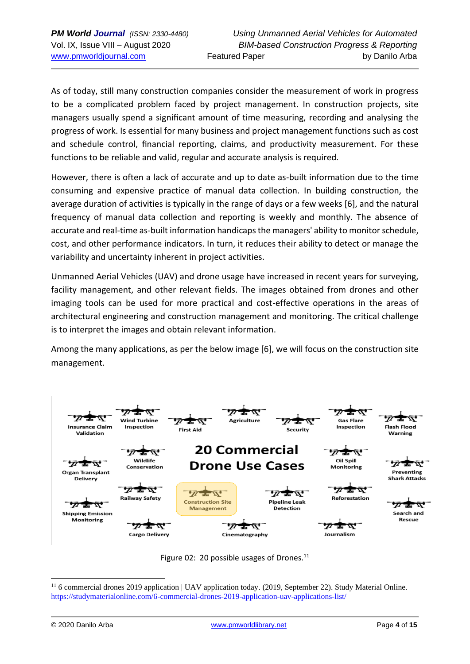As of today, still many construction companies consider the measurement of work in progress to be a complicated problem faced by project management. In construction projects, site managers usually spend a significant amount of time measuring, recording and analysing the progress of work. Is essential for many business and project management functions such as cost and schedule control, financial reporting, claims, and productivity measurement. For these functions to be reliable and valid, regular and accurate analysis is required.

However, there is often a lack of accurate and up to date as-built information due to the time consuming and expensive practice of manual data collection. In building construction, the average duration of activities is typically in the range of days or a few weeks [6], and the natural frequency of manual data collection and reporting is weekly and monthly. The absence of accurate and real-time as-built information handicaps the managers' ability to monitor schedule, cost, and other performance indicators. In turn, it reduces their ability to detect or manage the variability and uncertainty inherent in project activities.

Unmanned Aerial Vehicles (UAV) and drone usage have increased in recent years for surveying, facility management, and other relevant fields. The images obtained from drones and other imaging tools can be used for more practical and cost-effective operations in the areas of architectural engineering and construction management and monitoring. The critical challenge is to interpret the images and obtain relevant information.

Among the many applications, as per the below image [6], we will focus on the construction site management.



Figure 02: 20 possible usages of Drones. $^{11}$ 

<sup>&</sup>lt;sup>11</sup> 6 commercial drones 2019 application | UAV application today. (2019, September 22). Study Material Online. <https://studymaterialonline.com/6-commercial-drones-2019-application-uav-applications-list/>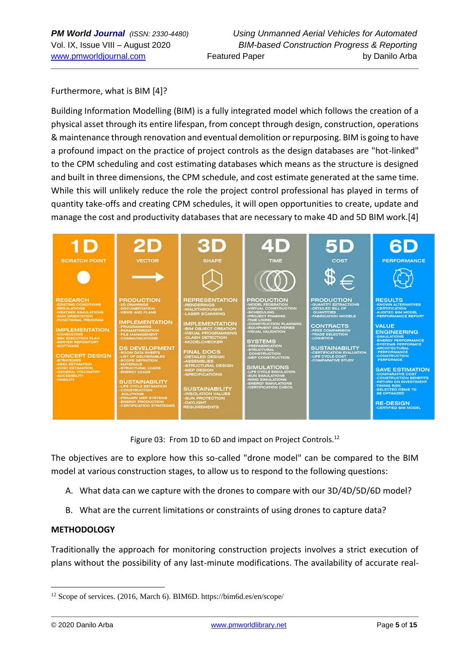Furthermore, what is BIM [4]?

Building Information Modelling (BIM) is a fully integrated model which follows the creation of a physical asset through its entire lifespan, from concept through design, construction, operations & maintenance through renovation and eventual demolition or repurposing. BIM is going to have a profound impact on the practice of project controls as the design databases are "hot-linked" to the CPM scheduling and cost estimating databases which means as the structure is designed and built in three dimensions, the CPM schedule, and cost estimate generated at the same time. While this will unlikely reduce the role the project control professional has played in terms of quantity take-offs and creating CPM schedules, it will open opportunities to create, update and manage the cost and productivity databases that are necessary to make 4D and 5D BIM work.[4]



Figure 03: From 1D to 6D and impact on Project Controls.<sup>12</sup>

The objectives are to explore how this so-called "drone model" can be compared to the BIM model at various construction stages, to allow us to respond to the following questions:

- A. What data can we capture with the drones to compare with our 3D/4D/5D/6D model?
- B. What are the current limitations or constraints of using drones to capture data?

#### **METHODOLOGY**

Traditionally the approach for monitoring construction projects involves a strict execution of plans without the possibility of any last-minute modifications. The availability of accurate real-

<sup>12</sup> Scope of services. (2016, March 6). BIM6D. https://bim6d.es/en/scope/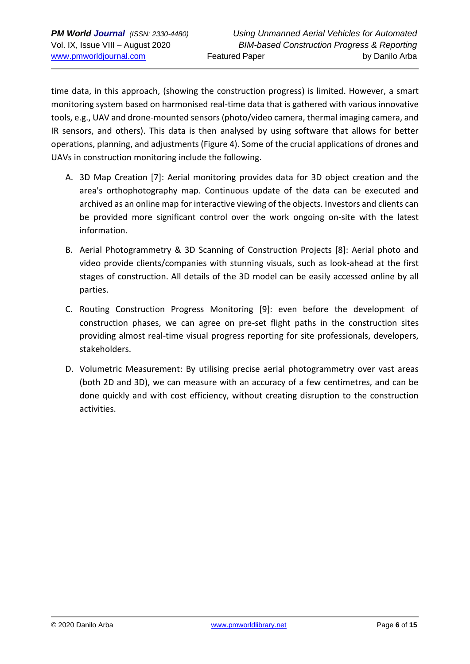time data, in this approach, (showing the construction progress) is limited. However, a smart monitoring system based on harmonised real-time data that is gathered with various innovative tools, e.g., UAV and drone-mounted sensors (photo/video camera, thermal imaging camera, and IR sensors, and others). This data is then analysed by using software that allows for better operations, planning, and adjustments (Figure 4). Some of the crucial applications of drones and UAVs in construction monitoring include the following.

- A. 3D Map Creation [7]: Aerial monitoring provides data for 3D object creation and the area's orthophotography map. Continuous update of the data can be executed and archived as an online map for interactive viewing of the objects. Investors and clients can be provided more significant control over the work ongoing on-site with the latest information.
- B. Aerial Photogrammetry & 3D Scanning of Construction Projects [8]: Aerial photo and video provide clients/companies with stunning visuals, such as look-ahead at the first stages of construction. All details of the 3D model can be easily accessed online by all parties.
- C. Routing Construction Progress Monitoring [9]: even before the development of construction phases, we can agree on pre-set flight paths in the construction sites providing almost real-time visual progress reporting for site professionals, developers, stakeholders.
- D. Volumetric Measurement: By utilising precise aerial photogrammetry over vast areas (both 2D and 3D), we can measure with an accuracy of a few centimetres, and can be done quickly and with cost efficiency, without creating disruption to the construction activities.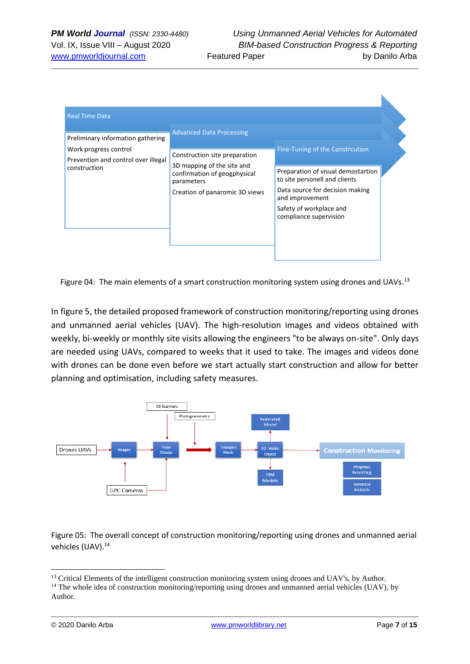| Construction site preparation<br>Prevention and control over illegal<br>3D mapping of the site and<br>confirmation of geogphysical<br>parameters | Fine-Tuning of the Constrcution                                     |  |
|--------------------------------------------------------------------------------------------------------------------------------------------------|---------------------------------------------------------------------|--|
|                                                                                                                                                  |                                                                     |  |
|                                                                                                                                                  | Preparation of visual demostartion<br>to site personell and clients |  |
| Creation of panaromic 3D views                                                                                                                   | Data source for decision making<br>and improvement                  |  |
|                                                                                                                                                  | Safety of workplace and<br>compliance supervision                   |  |
|                                                                                                                                                  |                                                                     |  |
|                                                                                                                                                  |                                                                     |  |

Figure 04: The main elements of a smart construction monitoring system using drones and UAVs.<sup>13</sup>

In figure 5, the detailed proposed framework of construction monitoring/reporting using drones and unmanned aerial vehicles (UAV). The high-resolution images and videos obtained with weekly, bi-weekly or monthly site visits allowing the engineers "to be always on-site". Only days are needed using UAVs, compared to weeks that it used to take. The images and videos done with drones can be done even before we start actually start construction and allow for better planning and optimisation, including safety measures.



Figure 05: The overall concept of construction monitoring/reporting using drones and unmanned aerial vehicles (UAV).<sup>14</sup>

<sup>&</sup>lt;sup>13</sup> Critical Elements of the intelligent construction monitoring system using drones and UAV's, by Author.

 $14$  The whole idea of construction monitoring/reporting using drones and unmanned aerial vehicles (UAV), by Author.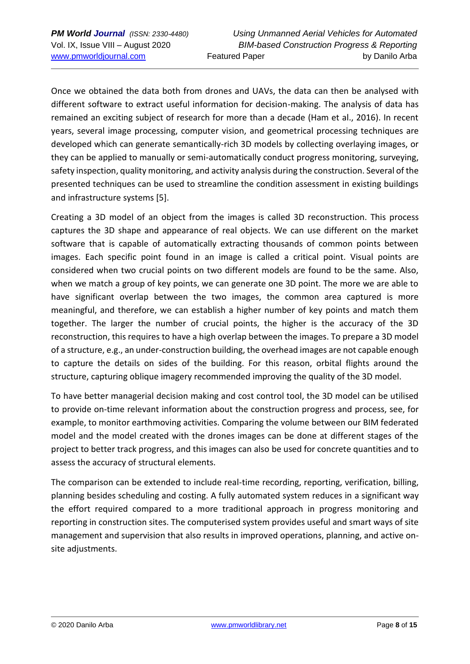Once we obtained the data both from drones and UAVs, the data can then be analysed with different software to extract useful information for decision-making. The analysis of data has remained an exciting subject of research for more than a decade (Ham et al., 2016). In recent years, several image processing, computer vision, and geometrical processing techniques are developed which can generate semantically-rich 3D models by collecting overlaying images, or they can be applied to manually or semi-automatically conduct progress monitoring, surveying, safety inspection, quality monitoring, and activity analysis during the construction. Several of the presented techniques can be used to streamline the condition assessment in existing buildings and infrastructure systems [5].

Creating a 3D model of an object from the images is called 3D reconstruction. This process captures the 3D shape and appearance of real objects. We can use different on the market software that is capable of automatically extracting thousands of common points between images. Each specific point found in an image is called a critical point. Visual points are considered when two crucial points on two different models are found to be the same. Also, when we match a group of key points, we can generate one 3D point. The more we are able to have significant overlap between the two images, the common area captured is more meaningful, and therefore, we can establish a higher number of key points and match them together. The larger the number of crucial points, the higher is the accuracy of the 3D reconstruction, this requires to have a high overlap between the images. To prepare a 3D model of a structure, e.g., an under-construction building, the overhead images are not capable enough to capture the details on sides of the building. For this reason, orbital flights around the structure, capturing oblique imagery recommended improving the quality of the 3D model.

To have better managerial decision making and cost control tool, the 3D model can be utilised to provide on-time relevant information about the construction progress and process, see, for example, to monitor earthmoving activities. Comparing the volume between our BIM federated model and the model created with the drones images can be done at different stages of the project to better track progress, and this images can also be used for concrete quantities and to assess the accuracy of structural elements.

The comparison can be extended to include real-time recording, reporting, verification, billing, planning besides scheduling and costing. A fully automated system reduces in a significant way the effort required compared to a more traditional approach in progress monitoring and reporting in construction sites. The computerised system provides useful and smart ways of site management and supervision that also results in improved operations, planning, and active onsite adjustments.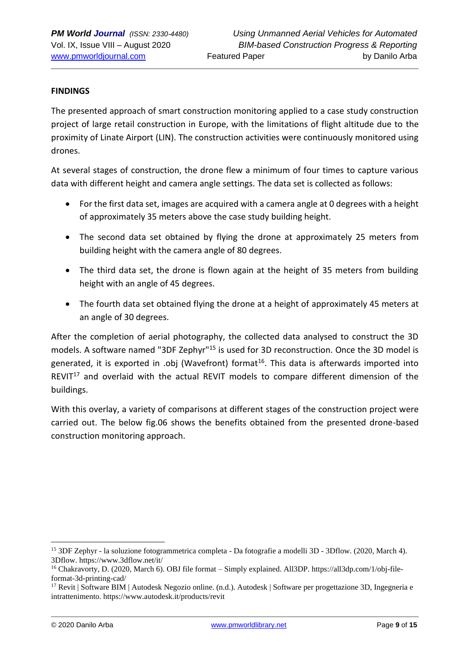#### **FINDINGS**

The presented approach of smart construction monitoring applied to a case study construction project of large retail construction in Europe, with the limitations of flight altitude due to the proximity of Linate Airport (LIN). The construction activities were continuously monitored using drones.

At several stages of construction, the drone flew a minimum of four times to capture various data with different height and camera angle settings. The data set is collected as follows:

- For the first data set, images are acquired with a camera angle at 0 degrees with a height of approximately 35 meters above the case study building height.
- The second data set obtained by flying the drone at approximately 25 meters from building height with the camera angle of 80 degrees.
- The third data set, the drone is flown again at the height of 35 meters from building height with an angle of 45 degrees.
- The fourth data set obtained flying the drone at a height of approximately 45 meters at an angle of 30 degrees.

After the completion of aerial photography, the collected data analysed to construct the 3D models. A software named "3DF Zephyr"<sup>15</sup> is used for 3D reconstruction. Once the 3D model is generated, it is exported in .obj (Wavefront) format<sup>16</sup>. This data is afterwards imported into REVIT $17$  and overlaid with the actual REVIT models to compare different dimension of the buildings.

With this overlay, a variety of comparisons at different stages of the construction project were carried out. The below fig.06 shows the benefits obtained from the presented drone-based construction monitoring approach.

<sup>15</sup> 3DF Zephyr - la soluzione fotogrammetrica completa - Da fotografie a modelli 3D - 3Dflow. (2020, March 4). 3Dflow. https://www.3dflow.net/it/

<sup>16</sup> Chakravorty, D. (2020, March 6). OBJ file format – Simply explained. All3DP. https://all3dp.com/1/obj-fileformat-3d-printing-cad/

<sup>&</sup>lt;sup>17</sup> Revit | Software BIM | Autodesk Negozio online. (n.d.). Autodesk | Software per progettazione 3D, Ingegneria e intrattenimento. https://www.autodesk.it/products/revit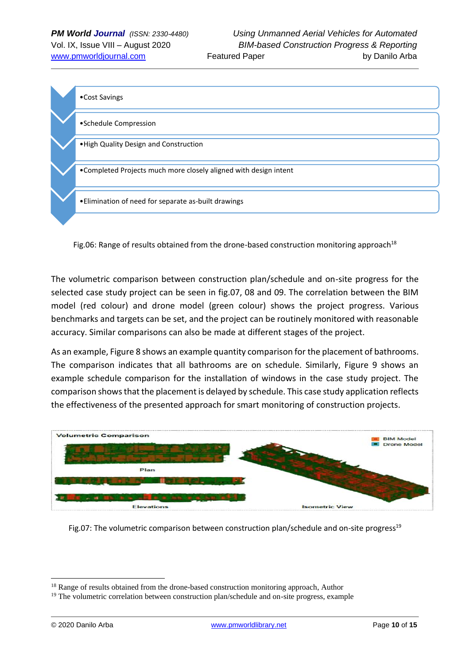

Fig.06: Range of results obtained from the drone-based construction monitoring approach<sup>18</sup>

The volumetric comparison between construction plan/schedule and on-site progress for the selected case study project can be seen in fig.07, 08 and 09. The correlation between the BIM model (red colour) and drone model (green colour) shows the project progress. Various benchmarks and targets can be set, and the project can be routinely monitored with reasonable accuracy. Similar comparisons can also be made at different stages of the project.

As an example, Figure 8 shows an example quantity comparison for the placement of bathrooms. The comparison indicates that all bathrooms are on schedule. Similarly, Figure 9 shows an example schedule comparison for the installation of windows in the case study project. The comparison shows that the placement is delayed by schedule. This case study application reflects the effectiveness of the presented approach for smart monitoring of construction projects.



Fig.07: The volumetric comparison between construction plan/schedule and on-site progress $19$ 

<sup>&</sup>lt;sup>18</sup> Range of results obtained from the drone-based construction monitoring approach, Author

 $19$  The volumetric correlation between construction plan/schedule and on-site progress, example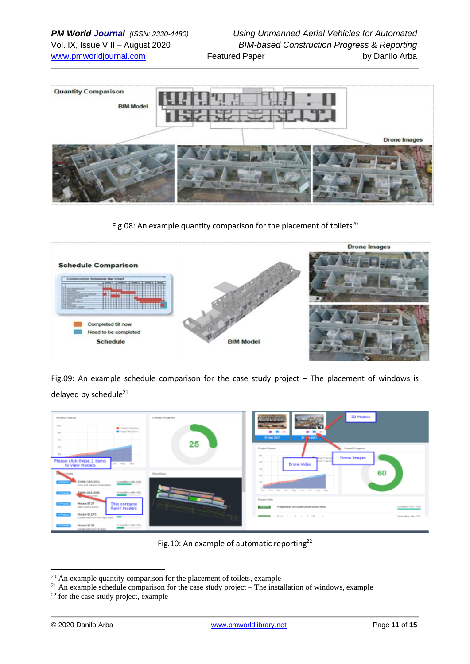

Fig.08: An example quantity comparison for the placement of toilets<sup>20</sup>



Fig.09: An example schedule comparison for the case study project – The placement of windows is delayed by schedule<sup>21</sup>

| Project Status<br>CHAIRPIGNS<br>Target Philadelphia                                                                                                                                                                                                                                                                                                                                | <b>Dynast Progress</b> | 3D Models<br><b>Barrett Inc.</b><br>.<br><b>COLLEGE</b><br>Of East 2017<br>312 63017                                                                                                      |                                               |
|------------------------------------------------------------------------------------------------------------------------------------------------------------------------------------------------------------------------------------------------------------------------------------------------------------------------------------------------------------------------------------|------------------------|-------------------------------------------------------------------------------------------------------------------------------------------------------------------------------------------|-----------------------------------------------|
| Please click these 2 items<br>Jef Aug Did-<br>to view models<br>TH99 (195-201)<br>Completion with 10%                                                                                                                                                                                                                                                                              | 25<br>Plan View        | Pentipoli Elizabeta<br><b>Donal Pregnon</b><br><b>OK</b><br><b>Orona Images</b><br>pual mayor<br><b>East Forest</b><br>$\sim$<br>Drone Video<br>$\sim$<br>60<br><b>AND</b>                |                                               |
| Cove and otining installation<br>Completion with: 40%<br>THIRD (2012-308)<br><b>State Street</b><br><b>SCIENTIST</b><br>House 3127<br>This contains<br><b>Bill Torpico</b><br><b>Size Construction</b><br>Revit models<br>House 61275<br><b>Britannia</b><br>Construction of Nicolaps and P<br>Completion with: SDA<br>House S138<br><b>Contract</b><br>construction of 1 singlery |                        | les fet the tip they live Jul July The<br><b>Flower Union</b><br>Plegatation st'Tsoulet construction area<br><b>Services</b><br>about 10 to 10 and 100 cm and<br>$\overline{\phantom{a}}$ | complete attricting<br>Concertains with 1994. |

Fig.10: An example of automatic reporting<sup>22</sup>

 $20$  An example quantity comparison for the placement of toilets, example

<sup>&</sup>lt;sup>21</sup> An example schedule comparison for the case study project – The installation of windows, example

 $22$  for the case study project, example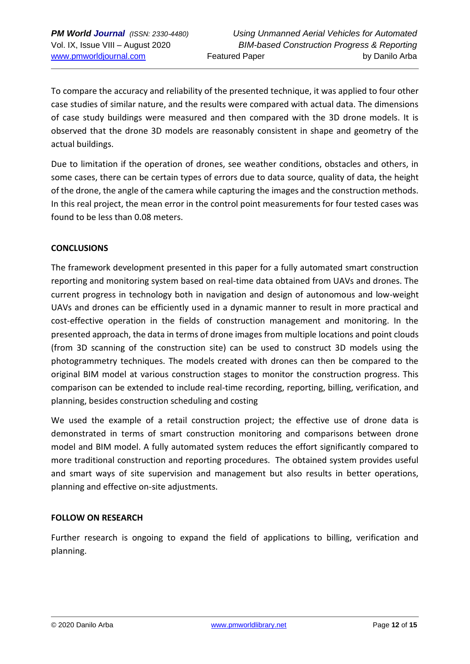To compare the accuracy and reliability of the presented technique, it was applied to four other case studies of similar nature, and the results were compared with actual data. The dimensions of case study buildings were measured and then compared with the 3D drone models. It is observed that the drone 3D models are reasonably consistent in shape and geometry of the actual buildings.

Due to limitation if the operation of drones, see weather conditions, obstacles and others, in some cases, there can be certain types of errors due to data source, quality of data, the height of the drone, the angle of the camera while capturing the images and the construction methods. In this real project, the mean error in the control point measurements for four tested cases was found to be less than 0.08 meters.

## **CONCLUSIONS**

The framework development presented in this paper for a fully automated smart construction reporting and monitoring system based on real-time data obtained from UAVs and drones. The current progress in technology both in navigation and design of autonomous and low-weight UAVs and drones can be efficiently used in a dynamic manner to result in more practical and cost-effective operation in the fields of construction management and monitoring. In the presented approach, the data in terms of drone images from multiple locations and point clouds (from 3D scanning of the construction site) can be used to construct 3D models using the photogrammetry techniques. The models created with drones can then be compared to the original BIM model at various construction stages to monitor the construction progress. This comparison can be extended to include real-time recording, reporting, billing, verification, and planning, besides construction scheduling and costing

We used the example of a retail construction project; the effective use of drone data is demonstrated in terms of smart construction monitoring and comparisons between drone model and BIM model. A fully automated system reduces the effort significantly compared to more traditional construction and reporting procedures. The obtained system provides useful and smart ways of site supervision and management but also results in better operations, planning and effective on-site adjustments.

#### **FOLLOW ON RESEARCH**

Further research is ongoing to expand the field of applications to billing, verification and planning.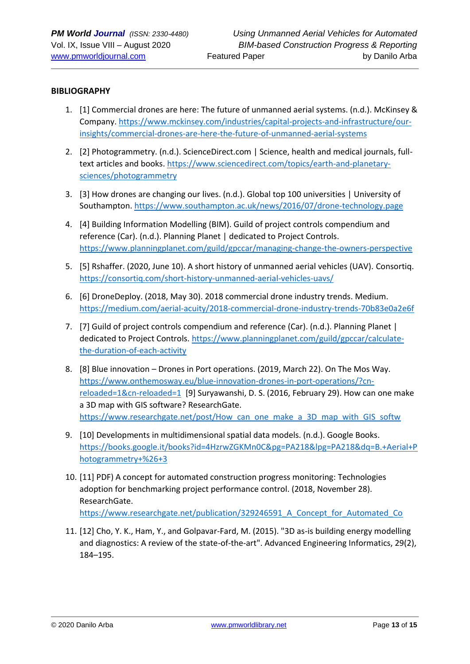#### **BIBLIOGRAPHY**

- 1. [1] Commercial drones are here: The future of unmanned aerial systems. (n.d.). McKinsey & Company. [https://www.mckinsey.com/industries/capital-projects-and-infrastructure/our](https://www.mckinsey.com/industries/capital-projects-and-infrastructure/our-insights/commercial-drones-are-here-the-future-of-unmanned-aerial-systems)[insights/commercial-drones-are-here-the-future-of-unmanned-aerial-systems](https://www.mckinsey.com/industries/capital-projects-and-infrastructure/our-insights/commercial-drones-are-here-the-future-of-unmanned-aerial-systems)
- 2. [2] Photogrammetry. (n.d.). ScienceDirect.com | Science, health and medical journals, full-text articles and books[. https://www.sciencedirect.com/topics/earth-and-planetary](https://www.sciencedirect.com/topics/earth-and-planetary-sciences/photogrammetry)[sciences/photogrammetry](https://www.sciencedirect.com/topics/earth-and-planetary-sciences/photogrammetry)
- 3. [3] How drones are changing our lives. (n.d.). Global top 100 universities | University of Southampton.<https://www.southampton.ac.uk/news/2016/07/drone-technology.page>
- 4. [4] Building Information Modelling (BIM). Guild of project controls compendium and reference (Car). (n.d.). Planning Planet | dedicated to Project Controls. <https://www.planningplanet.com/guild/gpccar/managing-change-the-owners-perspective>
- 5. [5] Rshaffer. (2020, June 10). A short history of unmanned aerial vehicles (UAV). Consortiq. <https://consortiq.com/short-history-unmanned-aerial-vehicles-uavs/>
- 6. [6] DroneDeploy. (2018, May 30). 2018 commercial drone industry trends. Medium. <https://medium.com/aerial-acuity/2018-commercial-drone-industry-trends-70b83e0a2e6f>
- 7. [7] Guild of project controls compendium and reference (Car). (n.d.). Planning Planet | dedicated to Project Controls. [https://www.planningplanet.com/guild/gpccar/calculate](https://www.planningplanet.com/guild/gpccar/calculate-the-duration-of-each-activity)[the-duration-of-each-activity](https://www.planningplanet.com/guild/gpccar/calculate-the-duration-of-each-activity)
- 8. [8] Blue innovation Drones in Port operations. (2019, March 22). On The Mos Way. [https://www.onthemosway.eu/blue-innovation-drones-in-port-operations/?cn](https://www.onthemosway.eu/blue-innovation-drones-in-port-operations/?cn-reloaded=1&cn-reloaded=1)[reloaded=1&cn-reloaded=1](https://www.onthemosway.eu/blue-innovation-drones-in-port-operations/?cn-reloaded=1&cn-reloaded=1) [9] Suryawanshi, D. S. (2016, February 29). How can one make a 3D map with GIS software? ResearchGate. https://www.researchgate.net/post/How\_can\_one\_make\_a\_3D\_map\_with\_GIS\_softw
- 9. [10] Developments in multidimensional spatial data models. (n.d.). Google Books. [https://books.google.it/books?id=4HzrwZGKMn0C&pg=PA218&lpg=PA218&dq=B.+Aerial+P](https://books.google.it/books?id=4HzrwZGKMn0C&pg=PA218&lpg=PA218&dq=B.+Aerial+Photogrammetry+%26+3) [hotogrammetry+%26+3](https://books.google.it/books?id=4HzrwZGKMn0C&pg=PA218&lpg=PA218&dq=B.+Aerial+Photogrammetry+%26+3)
- 10. [11] PDF) A concept for automated construction progress monitoring: Technologies adoption for benchmarking project performance control. (2018, November 28). ResearchGate. [https://www.researchgate.net/publication/329246591\\_A\\_Concept\\_for\\_Automated\\_Co](https://www.researchgate.net/publication/329246591_A_Concept_for_Automated_Co)
- 11. [12] Cho, Y. K., Ham, Y., and Golpavar-Fard, M. (2015). "3D as-is building energy modelling and diagnostics: A review of the state-of-the-art". Advanced Engineering Informatics, 29(2), 184–195.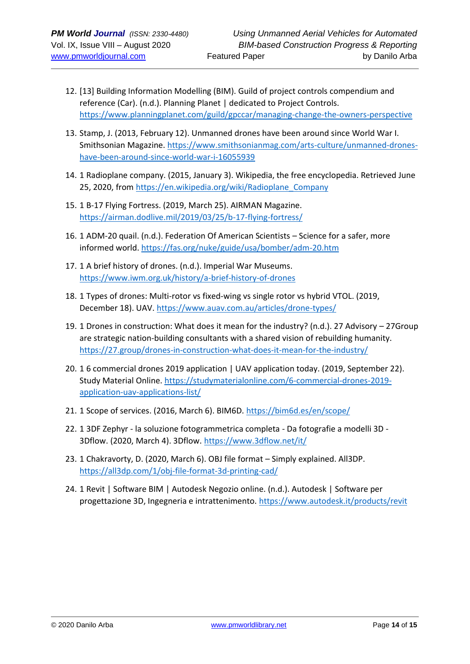- 12. [13] Building Information Modelling (BIM). Guild of project controls compendium and reference (Car). (n.d.). Planning Planet | dedicated to Project Controls. <https://www.planningplanet.com/guild/gpccar/managing-change-the-owners-perspective>
- 13. Stamp, J. (2013, February 12). Unmanned drones have been around since World War I. Smithsonian Magazine. [https://www.smithsonianmag.com/arts-culture/unmanned-drones](about:blank)[have-been-around-since-world-war-i-16055939](about:blank)
- 14. 1 Radioplane company. (2015, January 3). Wikipedia, the free encyclopedia. Retrieved June 25, 2020, from [https://en.wikipedia.org/wiki/Radioplane\\_Company](https://en.wikipedia.org/wiki/Radioplane_Company)
- 15. 1 B-17 Flying Fortress. (2019, March 25). AIRMAN Magazine. <https://airman.dodlive.mil/2019/03/25/b-17-flying-fortress/>
- 16. 1 ADM-20 quail. (n.d.). Federation Of American Scientists Science for a safer, more informed world.<https://fas.org/nuke/guide/usa/bomber/adm-20.htm>
- 17. 1 A brief history of drones. (n.d.). Imperial War Museums. [https://www.iwm.org.uk/history/a-brief-history-of-drones](about:blank)
- 18. 1 Types of drones: Multi-rotor vs fixed-wing vs single rotor vs hybrid VTOL. (2019, December 18). UAV.<https://www.auav.com.au/articles/drone-types/>
- 19. 1 Drones in construction: What does it mean for the industry? (n.d.). 27 Advisory 27Group are strategic nation-building consultants with a shared vision of rebuilding humanity. <https://27.group/drones-in-construction-what-does-it-mean-for-the-industry/>
- 20. 1 6 commercial drones 2019 application | UAV application today. (2019, September 22). Study Material Online. [https://studymaterialonline.com/6-commercial-drones-2019](https://studymaterialonline.com/6-commercial-drones-2019-application-uav-applications-list/) [application-uav-applications-list/](https://studymaterialonline.com/6-commercial-drones-2019-application-uav-applications-list/)
- 21. 1 Scope of services. (2016, March 6). BIM6D.<https://bim6d.es/en/scope/>
- 22. 1 3DF Zephyr la soluzione fotogrammetrica completa Da fotografie a modelli 3D 3Dflow. (2020, March 4). 3Dflow.<https://www.3dflow.net/it/>
- 23. 1 Chakravorty, D. (2020, March 6). OBJ file format Simply explained. All3DP. <https://all3dp.com/1/obj-file-format-3d-printing-cad/>
- 24. 1 Revit | Software BIM | Autodesk Negozio online. (n.d.). Autodesk | Software per progettazione 3D, Ingegneria e intrattenimento. https://www.autodesk.it/products/revit